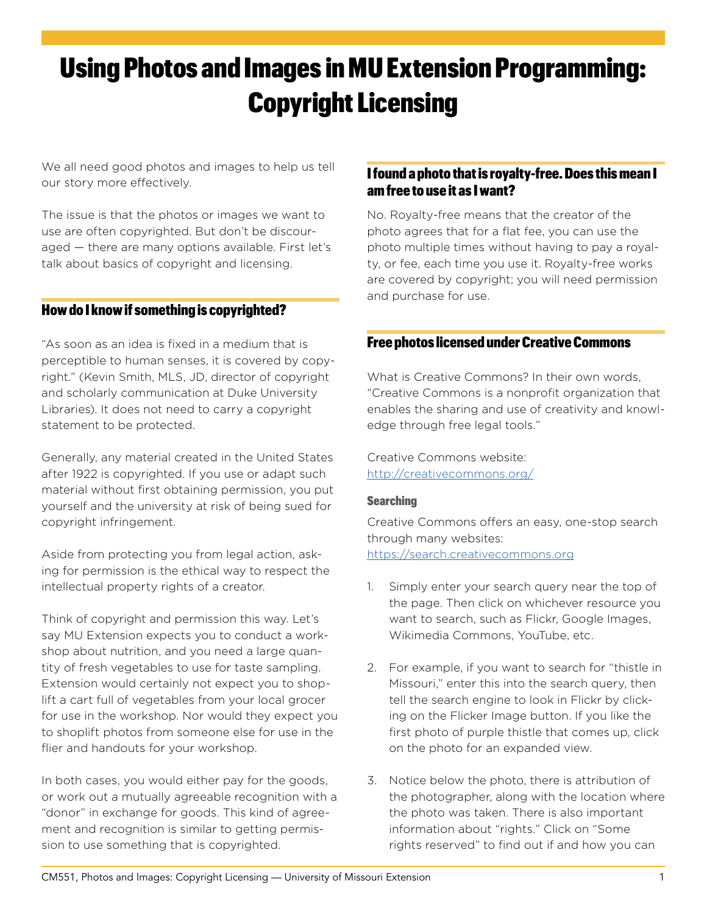# Using Photos and Images in MU Extension Programming: Copyright Licensing

We all need good photos and images to help us tell our story more effectively.

The issue is that the photos or images we want to use are often copyrighted. But don't be discouraged — there are many options available. First let's talk about basics of copyright and licensing.

## How do I know if something is copyrighted?

"As soon as an idea is fixed in a medium that is perceptible to human senses, it is covered by copyright." (Kevin Smith, MLS, JD, director of copyright and scholarly communication at Duke University Libraries). It does not need to carry a copyright statement to be protected.

Generally, any material created in the United States after 1922 is copyrighted. If you use or adapt such material without first obtaining permission, you put yourself and the university at risk of being sued for copyright infringement.

Aside from protecting you from legal action, asking for permission is the ethical way to respect the intellectual property rights of a creator.

Think of copyright and permission this way. Let's say MU Extension expects you to conduct a workshop about nutrition, and you need a large quantity of fresh vegetables to use for taste sampling. Extension would certainly not expect you to shoplift a cart full of vegetables from your local grocer for use in the workshop. Nor would they expect you to shoplift photos from someone else for use in the flier and handouts for your workshop.

In both cases, you would either pay for the goods, or work out a mutually agreeable recognition with a "donor" in exchange for goods. This kind of agreement and recognition is similar to getting permission to use something that is copyrighted.

## I found a photo that is royalty-free. Does this mean I am free to use it as I want?

No. Royalty-free means that the creator of the photo agrees that for a flat fee, you can use the photo multiple times without having to pay a royalty, or fee, each time you use it. Royalty-free works are covered by copyright; you will need permission and purchase for use.

## Free photos licensed under Creative Commons

What is Creative Commons? In their own words, "Creative Commons is a nonprofit organization that enables the sharing and use of creativity and knowledge through free legal tools."

Creative Commons website: <http://creativecommons.org/>

#### **Searching**

Creative Commons offers an easy, one-stop search through many websites: <https://search.creativecommons.org>

- 1. Simply enter your search query near the top of the page. Then click on whichever resource you want to search, such as Flickr, Google Images, Wikimedia Commons, YouTube, etc.
- 2. For example, if you want to search for "thistle in Missouri," enter this into the search query, then tell the search engine to look in Flickr by clicking on the Flicker Image button. If you like the first photo of purple thistle that comes up, click on the photo for an expanded view.
- 3. Notice below the photo, there is attribution of the photographer, along with the location where the photo was taken. There is also important information about "rights." Click on "Some rights reserved" to find out if and how you can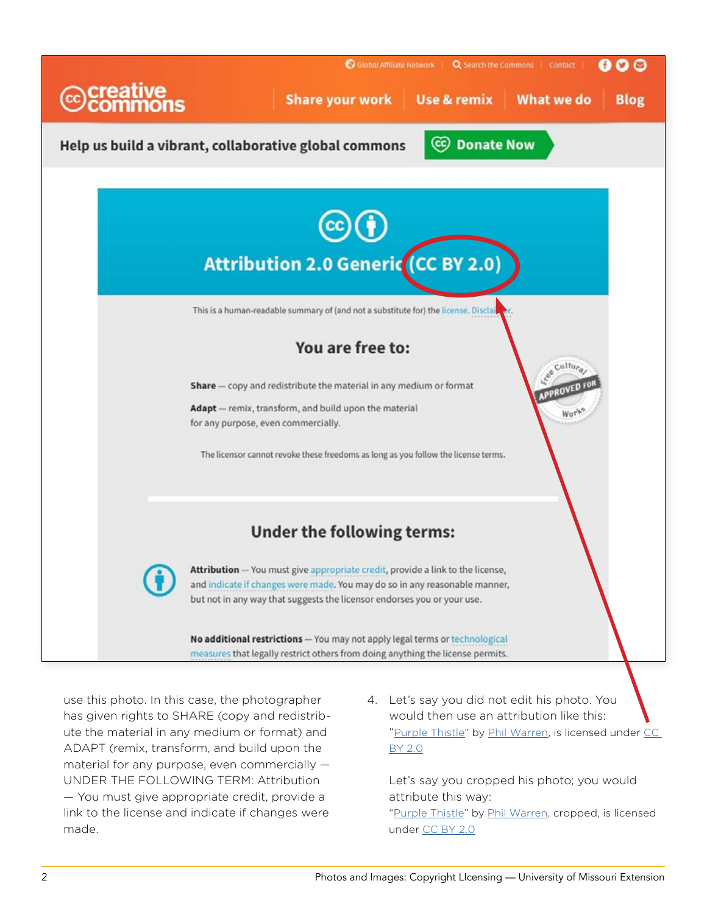

use this photo. In this case, the photographer has given rights to SHARE (copy and redistribute the material in any medium or format) and ADAPT (remix, transform, and build upon the material for any purpose, even commercially — UNDER THE FOLLOWING TERM: Attribution — You must give appropriate credit, provide a link to the license and indicate if changes were made.

4. Let's say you did not edit his photo. You would then use an attribution like this: ["Purple Thistle"](https://www.flickr.com/photos/soulnotes/13778065444/in/photolist-mZwbQu-xRarAi-683ybz-Zw2oCy-Zw2jFf-MG7Mgf-Lpy3tE-L26zdq-KvN7KM-MG7GYY-KvMKrK-LpxyJb-y6mDEE-iPnzhM-ZxsmGQ-Zw2m8J-ZvWuHu) by [Phil Warren,](https://www.flickr.com/photos/soulnotes/) is licensed under CC [BY 2.0](https://creativecommons.org/licenses/by/2.0/)

Let's say you cropped his photo; you would attribute this way: "[Purple Thistle](https://www.flickr.com/photos/soulnotes/13778065444/in/photolist-mZwbQu-xRarAi-683ybz-Zw2oCy-Zw2jFf-MG7Mgf-Lpy3tE-L26zdq-KvN7KM-MG7GYY-KvMKrK-LpxyJb-y6mDEE-iPnzhM-ZxsmGQ-Zw2m8J-ZvWuHu)" by [Phil Warren,](https://www.flickr.com/photos/soulnotes/) cropped, is licensed under [CC BY 2.0](https://creativecommons.org/licenses/by/2.0/)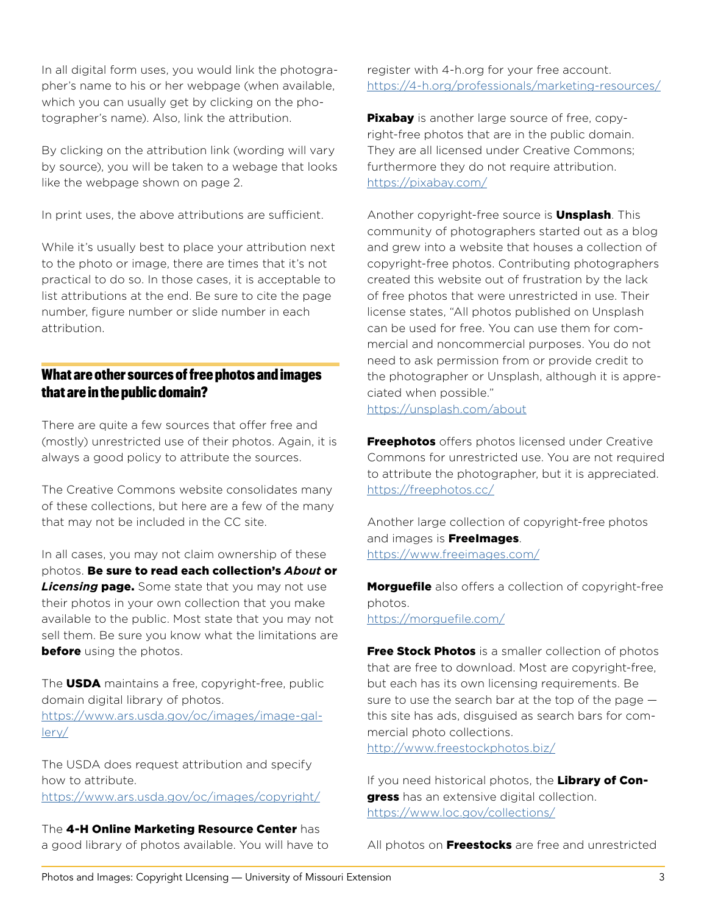In all digital form uses, you would link the photographer's name to his or her webpage (when available, which you can usually get by clicking on the photographer's name). Also, link the attribution.

By clicking on the attribution link (wording will vary by source), you will be taken to a webage that looks like the webpage shown on page 2.

In print uses, the above attributions are sufficient.

While it's usually best to place your attribution next to the photo or image, there are times that it's not practical to do so. In those cases, it is acceptable to list attributions at the end. Be sure to cite the page number, figure number or slide number in each attribution.

## What are other sources of free photos and images that are in the public domain?

There are quite a few sources that offer free and (mostly) unrestricted use of their photos. Again, it is always a good policy to attribute the sources.

The Creative Commons website consolidates many of these collections, but here are a few of the many that may not be included in the CC site.

In all cases, you may not claim ownership of these photos. Be sure to read each collection's *About* or **Licensing page.** Some state that you may not use their photos in your own collection that you make available to the public. Most state that you may not sell them. Be sure you know what the limitations are **before** using the photos.

The **USDA** maintains a free, copyright-free, public domain digital library of photos. [https://www.ars.usda.gov/oc/images/image-gal-](https://www.ars.usda.gov/oc/images/image-gallery/)

[lery/](https://www.ars.usda.gov/oc/images/image-gallery/)

The USDA does request attribution and specify how to attribute. <https://www.ars.usda.gov/oc/images/copyright/>

The 4-H Online Marketing Resource Center has a good library of photos available. You will have to register with 4-h.org for your free account. <https://4-h.org/professionals/marketing-resources/>

**Pixabay** is another large source of free, copyright-free photos that are in the public domain. They are all licensed under Creative Commons; furthermore they do not require attribution. <https://pixabay.com/>

Another copyright-free source is **Unsplash**. This community of photographers started out as a blog and grew into a website that houses a collection of copyright-free photos. Contributing photographers created this website out of frustration by the lack of free photos that were unrestricted in use. Their license states, "All photos published on Unsplash can be used for free. You can use them for commercial and noncommercial purposes. You do not need to ask permission from or provide credit to the photographer or Unsplash, although it is appreciated when possible." <https://unsplash.com/about>

**Freephotos** offers photos licensed under Creative Commons for unrestricted use. You are not required to attribute the photographer, but it is appreciated. <https://freephotos.cc/>

Another large collection of copyright-free photos and images is **FreeImages**. <https://www.freeimages.com/>

**Morguefile** also offers a collection of copyright-free photos.

<https://morguefile.com/>

Free Stock Photos is a smaller collection of photos that are free to download. Most are copyright-free, but each has its own licensing requirements. Be sure to use the search bar at the top of the page  $$ this site has ads, disguised as search bars for commercial photo collections.

<http://www.freestockphotos.biz/>

If you need historical photos, the Library of Congress has an extensive digital collection. <https://www.loc.gov/collections/>

All photos on Freestocks are free and unrestricted